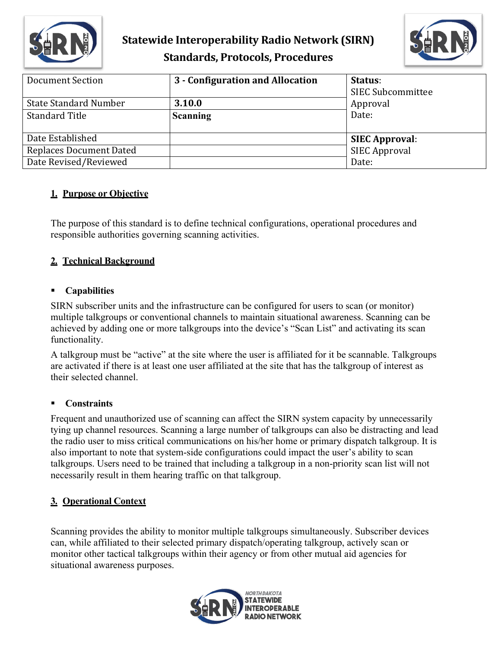



| Document Section<br><b>State Standard Number</b> | 3 - Configuration and Allocation<br>3.10.0 | Status:<br><b>SIEC Subcommittee</b><br>Approval |
|--------------------------------------------------|--------------------------------------------|-------------------------------------------------|
| <b>Standard Title</b>                            | <b>Scanning</b>                            | Date:                                           |
| Date Established                                 |                                            | <b>SIEC Approval:</b>                           |
| <b>Replaces Document Dated</b>                   |                                            | <b>SIEC Approval</b>                            |
| Date Revised/Reviewed                            |                                            | Date:                                           |

### **1. Purpose or Objective**

The purpose of this standard is to define technical configurations, operational procedures and responsible authorities governing scanning activities.

### **2. Technical Background**

#### **Capabilities**

SIRN subscriber units and the infrastructure can be configured for users to scan (or monitor) multiple talkgroups or conventional channels to maintain situational awareness. Scanning can be achieved by adding one or more talkgroups into the device's "Scan List" and activating its scan functionality.

A talkgroup must be "active" at the site where the user is affiliated for it be scannable. Talkgroups are activated if there is at least one user affiliated at the site that has the talkgroup of interest as their selected channel.

#### **Constraints**

Frequent and unauthorized use of scanning can affect the SIRN system capacity by unnecessarily tying up channel resources. Scanning a large number of talkgroups can also be distracting and lead the radio user to miss critical communications on his/her home or primary dispatch talkgroup. It is also important to note that system-side configurations could impact the user's ability to scan talkgroups. Users need to be trained that including a talkgroup in a non-priority scan list will not necessarily result in them hearing traffic on that talkgroup.

#### **3. Operational Context**

Scanning provides the ability to monitor multiple talkgroups simultaneously. Subscriber devices can, while affiliated to their selected primary dispatch/operating talkgroup, actively scan or monitor other tactical talkgroups within their agency or from other mutual aid agencies for situational awareness purposes.

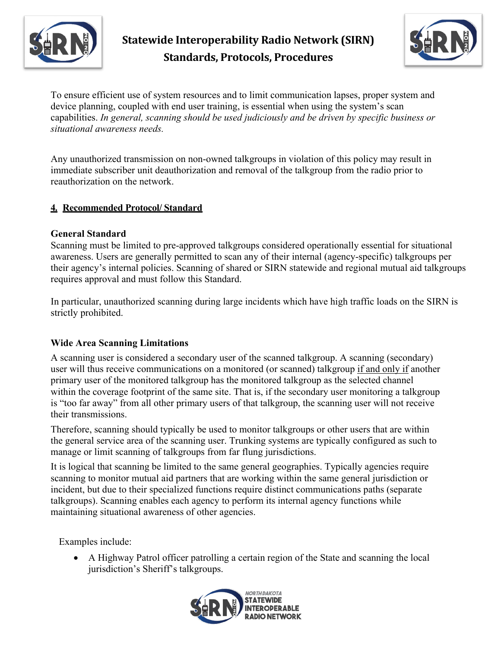



To ensure efficient use of system resources and to limit communication lapses, proper system and device planning, coupled with end user training, is essential when using the system's scan capabilities. *In general, scanning should be used judiciously and be driven by specific business or situational awareness needs.* 

Any unauthorized transmission on non-owned talkgroups in violation of this policy may result in immediate subscriber unit deauthorization and removal of the talkgroup from the radio prior to reauthorization on the network.

#### **4. Recommended Protocol/ Standard**

#### **General Standard**

Scanning must be limited to pre-approved talkgroups considered operationally essential for situational awareness. Users are generally permitted to scan any of their internal (agency-specific) talkgroups per their agency's internal policies. Scanning of shared or SIRN statewide and regional mutual aid talkgroups requires approval and must follow this Standard.

In particular, unauthorized scanning during large incidents which have high traffic loads on the SIRN is strictly prohibited.

### **Wide Area Scanning Limitations**

A scanning user is considered a secondary user of the scanned talkgroup. A scanning (secondary) user will thus receive communications on a monitored (or scanned) talkgroup if and only if another primary user of the monitored talkgroup has the monitored talkgroup as the selected channel within the coverage footprint of the same site. That is, if the secondary user monitoring a talkgroup is "too far away" from all other primary users of that talkgroup, the scanning user will not receive their transmissions.

Therefore, scanning should typically be used to monitor talkgroups or other users that are within the general service area of the scanning user. Trunking systems are typically configured as such to manage or limit scanning of talkgroups from far flung jurisdictions.

It is logical that scanning be limited to the same general geographies. Typically agencies require scanning to monitor mutual aid partners that are working within the same general jurisdiction or incident, but due to their specialized functions require distinct communications paths (separate talkgroups). Scanning enables each agency to perform its internal agency functions while maintaining situational awareness of other agencies.

Examples include:

• A Highway Patrol officer patrolling a certain region of the State and scanning the local jurisdiction's Sheriff's talkgroups.

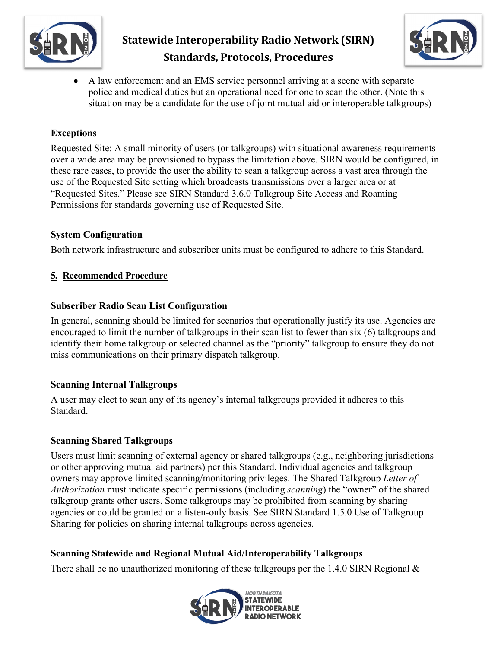



• A law enforcement and an EMS service personnel arriving at a scene with separate police and medical duties but an operational need for one to scan the other. (Note this situation may be a candidate for the use of joint mutual aid or interoperable talkgroups)

### **Exceptions**

Requested Site: A small minority of users (or talkgroups) with situational awareness requirements over a wide area may be provisioned to bypass the limitation above. SIRN would be configured, in these rare cases, to provide the user the ability to scan a talkgroup across a vast area through the use of the Requested Site setting which broadcasts transmissions over a larger area or at "Requested Sites." Please see SIRN Standard 3.6.0 Talkgroup Site Access and Roaming Permissions for standards governing use of Requested Site.

#### **System Configuration**

Both network infrastructure and subscriber units must be configured to adhere to this Standard.

### **5. Recommended Procedure**

#### **Subscriber Radio Scan List Configuration**

In general, scanning should be limited for scenarios that operationally justify its use. Agencies are encouraged to limit the number of talkgroups in their scan list to fewer than six (6) talkgroups and identify their home talkgroup or selected channel as the "priority" talkgroup to ensure they do not miss communications on their primary dispatch talkgroup.

### **Scanning Internal Talkgroups**

A user may elect to scan any of its agency's internal talkgroups provided it adheres to this Standard.

### **Scanning Shared Talkgroups**

Users must limit scanning of external agency or shared talkgroups (e.g., neighboring jurisdictions or other approving mutual aid partners) per this Standard. Individual agencies and talkgroup owners may approve limited scanning/monitoring privileges. The Shared Talkgroup *Letter of Authorization* must indicate specific permissions (including *scanning*) the "owner" of the shared talkgroup grants other users. Some talkgroups may be prohibited from scanning by sharing agencies or could be granted on a listen-only basis. See SIRN Standard 1.5.0 Use of Talkgroup Sharing for policies on sharing internal talkgroups across agencies.

### **Scanning Statewide and Regional Mutual Aid/Interoperability Talkgroups**

There shall be no unauthorized monitoring of these talkgroups per the 1.4.0 SIRN Regional &

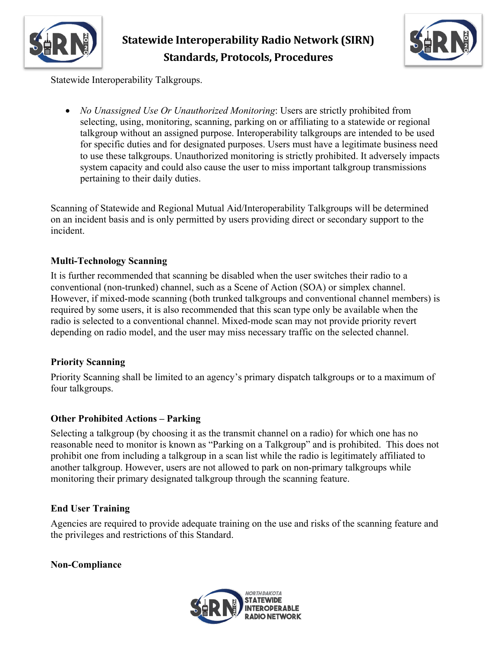



Statewide Interoperability Talkgroups.

• *No Unassigned Use Or Unauthorized Monitoring*: Users are strictly prohibited from selecting, using, monitoring, scanning, parking on or affiliating to a statewide or regional talkgroup without an assigned purpose. Interoperability talkgroups are intended to be used for specific duties and for designated purposes. Users must have a legitimate business need to use these talkgroups. Unauthorized monitoring is strictly prohibited. It adversely impacts system capacity and could also cause the user to miss important talkgroup transmissions pertaining to their daily duties.

Scanning of Statewide and Regional Mutual Aid/Interoperability Talkgroups will be determined on an incident basis and is only permitted by users providing direct or secondary support to the incident.

### **Multi-Technology Scanning**

It is further recommended that scanning be disabled when the user switches their radio to a conventional (non-trunked) channel, such as a Scene of Action (SOA) or simplex channel. However, if mixed-mode scanning (both trunked talkgroups and conventional channel members) is required by some users, it is also recommended that this scan type only be available when the radio is selected to a conventional channel. Mixed-mode scan may not provide priority revert depending on radio model, and the user may miss necessary traffic on the selected channel.

### **Priority Scanning**

Priority Scanning shall be limited to an agency's primary dispatch talkgroups or to a maximum of four talkgroups.

### **Other Prohibited Actions – Parking**

Selecting a talkgroup (by choosing it as the transmit channel on a radio) for which one has no reasonable need to monitor is known as "Parking on a Talkgroup" and is prohibited. This does not prohibit one from including a talkgroup in a scan list while the radio is legitimately affiliated to another talkgroup. However, users are not allowed to park on non-primary talkgroups while monitoring their primary designated talkgroup through the scanning feature.

### **End User Training**

Agencies are required to provide adequate training on the use and risks of the scanning feature and the privileges and restrictions of this Standard.

**Non-Compliance**